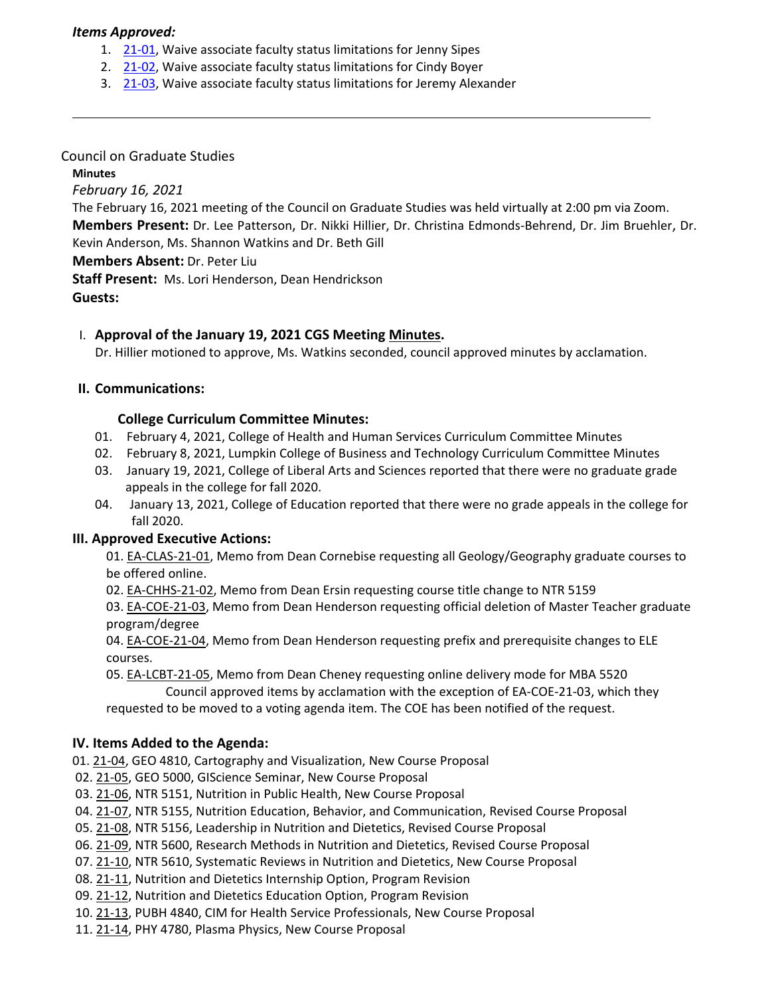### *Items Approved:*

- 1. 21-[01,](https://castle.eiu.edu/eiucgs/currentagendaitems/agenda21-01.pdf) Waive associate faculty status limitations for Jenny Sipes
- 2. 21-[02,](https://castle.eiu.edu/eiucgs/currentagendaitems/agenda21-02.pdf) Waive associate faculty status limitations for Cindy Boyer
- 3. 21-[03,](https://castle.eiu.edu/eiucgs/currentagendaitems/agenda21-03.pdf) Waive associate faculty status limitations for Jeremy Alexander

### Council on Graduate Studies

**Minutes**

*February 16, 2021*

The February 16, 2021 meeting of the Council on Graduate Studies was held virtually at 2:00 pm via Zoom.

**Members Present:** Dr. Lee Patterson, Dr. Nikki Hillier, Dr. Christina Edmonds‐Behrend, Dr. Jim Bruehler, Dr. Kevin Anderson, Ms. Shannon Watkins and Dr. Beth Gill

**Members Absent:** Dr. Peter Liu

**Staff Present:** Ms. Lori Henderson, Dean Hendrickson

**Guests:**

## I. **Approval of the January 19, 2021 CGS Meeting [Minutes.](https://castle.eiu.edu/~eiucgs/currentminutes/Minutes1-19-21.pdf)**

Dr. Hillier motioned to approve, Ms. Watkins seconded, council approved minutes by acclamation.

### **II. Communications:**

### **College Curriculum Committee Minutes:**

- 01. February 4, 2021, College of Health and Human Services Curriculum Committee Minutes
- 02. February 8, 2021, Lumpkin College of Business and Technology Curriculum Committee Minutes
- 03. January 19, 2021, College of Liberal Arts and Sciences reported that there were no graduate grade appeals in the college for fall 2020.
- 04. January 13, 2021, College of Education reported that there were no grade appeals in the college for fall 2020.

### **III. Approved Executive Actions:**

01. EA‐[CLAS](https://castle.eiu.edu/eiucgs/exec-actions/EA-CLAS-21-01.pdf)‐21‐01, Memo from Dean Cornebise requesting all Geology/Geography graduate courses to be offered online.

02. EA‐[CHHS](https://castle.eiu.edu/eiucgs/exec-actions/EA-CHHS-21-02.pdf)‐21‐02, Memo from Dean Ersin requesting course title change to NTR 5159

03. EA‐[COE](https://castle.eiu.edu/eiucgs/exec-actions/EA-COE-21-03.pdf)‐21‐03, Memo from Dean Henderson requesting official deletion of Master Teacher graduate program/degree

04. EA-[COE](https://castle.eiu.edu/eiucgs/exec-actions/EA-COE-21-04.pdf)-21-04, Memo from Dean Henderson requesting prefix and prerequisite changes to ELE courses.

05. EA-[LCBT](https://castle.eiu.edu/eiucgs/exec-actions/EA-LCBT-21-05.pdf)-21-05, Memo from Dean Cheney requesting online delivery mode for MBA 5520

 Council approved items by acclamation with the exception of EA‐COE‐21‐03, which they requested to be moved to a voting agenda item. The COE has been notified of the request.

### **IV. Items Added to the Agenda:**

01. 21‐[04,](https://castle.eiu.edu/eiucgs/currentagendaitems/agenda21-04.pdf) GEO 4810, Cartography and Visualization, New Course Proposal

- 02. [21](https://castle.eiu.edu/eiucgs/currentagendaitems/agenda21-05.pdf)‐05, GEO 5000, GIScience Seminar, New Course Proposal
- 03. 21-[06,](https://castle.eiu.edu/eiucgs/currentagendaitems/agenda21-06.pdf) NTR 5151, Nutrition in Public Health, New Course Proposal
- 04. 21‐[07,](https://castle.eiu.edu/eiucgs/currentagendaitems/agenda21-07.pdf) NTR 5155, Nutrition Education, Behavior, and Communication, Revised Course Proposal
- 05. 21-[08,](https://castle.eiu.edu/eiucgs/currentagendaitems/agenda21-08.pdf) NTR 5156, Leadership in Nutrition and Dietetics, Revised Course Proposal
- 06. 21‐[09,](https://castle.eiu.edu/eiucgs/currentagendaitems/agenda21-09.pdf) NTR 5600, Research Methods in Nutrition and Dietetics, Revised Course Proposal
- 07. [21](https://castle.eiu.edu/eiucgs/currentagendaitems/agenda21-10.pdf)‐10, NTR 5610, Systematic Reviews in Nutrition and Dietetics, New Course Proposal
- 08. 21-[11](https://castle.eiu.edu/eiucgs/currentagendaitems/agenda21-11.pdf), Nutrition and Dietetics Internship Option, Program Revision
- 09. 21‐[12,](https://castle.eiu.edu/eiucgs/currentagendaitems/agenda21-12.pdf) Nutrition and Dietetics Education Option, Program Revision
- 10. 21‐[13,](https://castle.eiu.edu/eiucgs/currentagendaitems/agenda21-13.pdf) PUBH 4840, CIM for Health Service Professionals, New Course Proposal
- 11. 21‐[14,](https://castle.eiu.edu/eiucgs/currentagendaitems/agenda21-14.pdf) PHY 4780, Plasma Physics, New Course Proposal